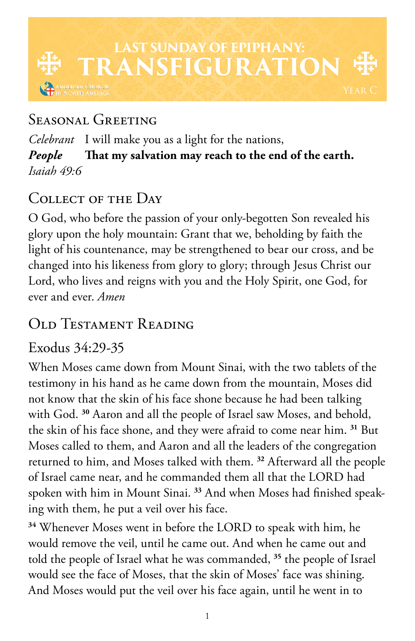

## Seasonal Greeting

*Celebrant* I will make you as a light for the nations, *People* **That my salvation may reach to the end of the earth.** *Isaiah 49:6*

# COLLECT OF THE DAY

O God, who before the passion of your only-begotten Son revealed his glory upon the holy mountain: Grant that we, beholding by faith the light of his countenance, may be strengthened to bear our cross, and be changed into his likeness from glory to glory; through Jesus Christ our Lord, who lives and reigns with you and the Holy Spirit, one God, for ever and ever. *Amen*

## Old Testament Reading

## Exodus 34:29-35

When Moses came down from Mount Sinai, with the two tablets of the testimony in his hand as he came down from the mountain, Moses did not know that the skin of his face shone because he had been talking with God. **<sup>30</sup>** Aaron and all the people of Israel saw Moses, and behold, the skin of his face shone, and they were afraid to come near him. **<sup>31</sup>** But Moses called to them, and Aaron and all the leaders of the congregation returned to him, and Moses talked with them. **<sup>32</sup>** Afterward all the people of Israel came near, and he commanded them all that the LORD had spoken with him in Mount Sinai. **33** And when Moses had finished speaking with them, he put a veil over his face.

**<sup>34</sup>** Whenever Moses went in before the LORD to speak with him, he would remove the veil, until he came out. And when he came out and told the people of Israel what he was commanded, **<sup>35</sup>** the people of Israel would see the face of Moses, that the skin of Moses' face was shining. And Moses would put the veil over his face again, until he went in to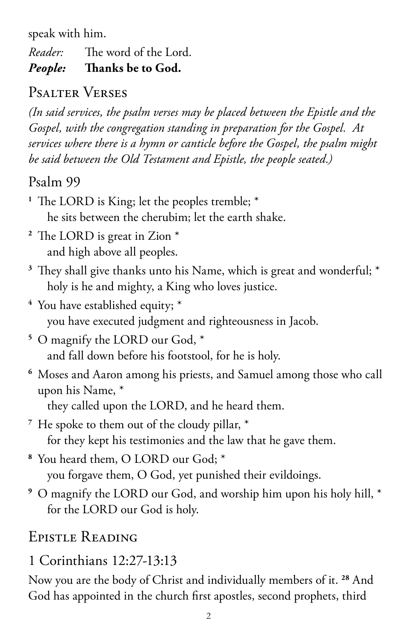speak with him.

*Reader:* The word of the Lord. *People:* **Thanks be to God.** 

## Psalter Verses

*(In said services, the psalm verses may be placed between the Epistle and the Gospel, with the congregation standing in preparation for the Gospel. At services where there is a hymn or canticle before the Gospel, the psalm might be said between the Old Testament and Epistle, the people seated.)*

### Psalm 99

- **<sup>1</sup>** The LORD is King; let the peoples tremble; \* he sits between the cherubim; let the earth shake.
- **<sup>2</sup>** The LORD is great in Zion \* and high above all peoples.
- **<sup>3</sup>** They shall give thanks unto his Name, which is great and wonderful; \* holy is he and mighty, a King who loves justice.
- **<sup>4</sup>** You have established equity; \* you have executed judgment and righteousness in Jacob.
- **<sup>5</sup>** O magnify the LORD our God, \* and fall down before his footstool, for he is holy.
- **<sup>6</sup>** Moses and Aaron among his priests, and Samuel among those who call upon his Name, \*

they called upon the LORD, and he heard them.

**<sup>7</sup>** He spoke to them out of the cloudy pillar, \* for they kept his testimonies and the law that he gave them.

**<sup>8</sup>** You heard them, O LORD our God; \* you forgave them, O God, yet punished their evildoings.

**<sup>9</sup>** O magnify the LORD our God, and worship him upon his holy hill, \* for the LORD our God is holy.

## Epistle Reading

## 1 Corinthians 12:27-13:13

Now you are the body of Christ and individually members of it. **<sup>28</sup>** And God has appointed in the church first apostles, second prophets, third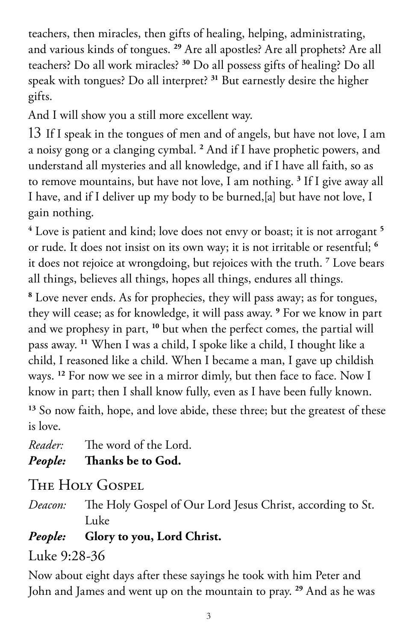teachers, then miracles, then gifts of healing, helping, administrating, and various kinds of tongues. **<sup>29</sup>** Are all apostles? Are all prophets? Are all teachers? Do all work miracles? **<sup>30</sup>** Do all possess gifts of healing? Do all speak with tongues? Do all interpret? **<sup>31</sup>** But earnestly desire the higher gifts.

And I will show you a still more excellent way.

13 If I speak in the tongues of men and of angels, but have not love, I am a noisy gong or a clanging cymbal. **<sup>2</sup>** And if I have prophetic powers, and understand all mysteries and all knowledge, and if I have all faith, so as to remove mountains, but have not love, I am nothing. **<sup>3</sup>** If I give away all I have, and if I deliver up my body to be burned,[a] but have not love, I gain nothing.

**4** Love is patient and kind; love does not envy or boast; it is not arrogant **<sup>5</sup>** or rude. It does not insist on its own way; it is not irritable or resentful; **<sup>6</sup>** it does not rejoice at wrongdoing, but rejoices with the truth. **<sup>7</sup>** Love bears all things, believes all things, hopes all things, endures all things.

**8** Love never ends. As for prophecies, they will pass away; as for tongues, they will cease; as for knowledge, it will pass away. **<sup>9</sup>** For we know in part and we prophesy in part, **<sup>10</sup>** but when the perfect comes, the partial will pass away. **<sup>11</sup>** When I was a child, I spoke like a child, I thought like a child, I reasoned like a child. When I became a man, I gave up childish ways. **<sup>12</sup>** For now we see in a mirror dimly, but then face to face. Now I know in part; then I shall know fully, even as I have been fully known. **<sup>13</sup>** So now faith, hope, and love abide, these three; but the greatest of these is love.

*Reader:* The word of the Lord.

*People:* **Thanks be to God.** 

The Holy Gospel

*Deacon:* The Holy Gospel of Our Lord Jesus Christ, according to St. Luke

#### *People:* **Glory to you, Lord Christ.**

### Luke 9:28-36

Now about eight days after these sayings he took with him Peter and John and James and went up on the mountain to pray. **29** And as he was